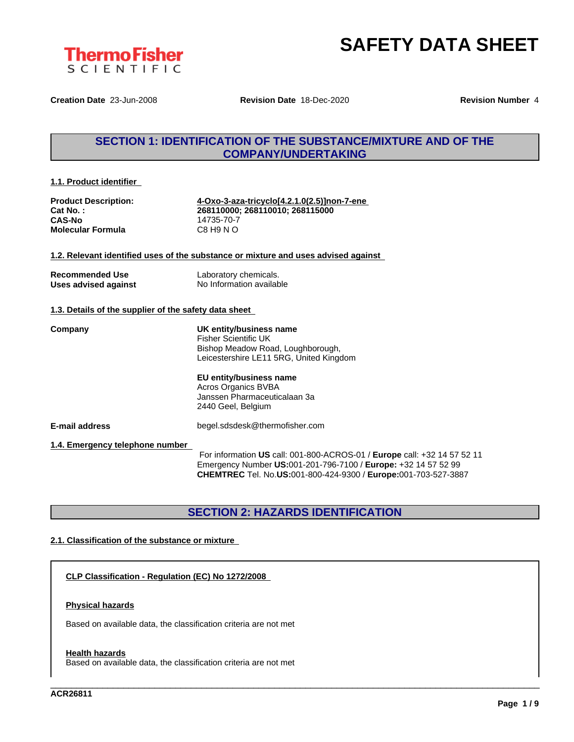

**Creation Date** 23-Jun-2008 **Revision Date** 18-Dec-2020 **Revision Number** 4

# **SECTION 1: IDENTIFICATION OF THE SUBSTANCE/MIXTURE AND OF THE COMPANY/UNDERTAKING**

**1.1. Product identifier**

**CAS-No**<br> **Molecular Formula**<br>
C8 H9 N O **Molecular Formula** 

**Product Description: 4-Oxo-3-aza-tricyclo[4.2.1.0(2.5)]non-7-ene Cat No. : 268110000; 268110010; 268115000**

#### **1.2. Relevant identified uses of the substance or mixture and uses advised against**

| <b>Recommended Use</b> | Laboratory chemicals.    |
|------------------------|--------------------------|
| Uses advised against   | No Information available |

#### **1.3. Details of the supplier of the safety data sheet**

**Company UK entity/business name** Fisher Scientific UK Bishop Meadow Road, Loughborough, Leicestershire LE11 5RG, United Kingdom

#### **EU entity/business name**

Acros Organics BVBA Janssen Pharmaceuticalaan 3a 2440 Geel, Belgium

**E-mail address** begel.sdsdesk@thermofisher.com

**1.4. Emergency telephone number**

For information **US** call: 001-800-ACROS-01 / **Europe** call: +32 14 57 52 11 Emergency Number **US:**001-201-796-7100 / **Europe:** +32 14 57 52 99 **CHEMTREC** Tel. No.**US:**001-800-424-9300 / **Europe:**001-703-527-3887

\_\_\_\_\_\_\_\_\_\_\_\_\_\_\_\_\_\_\_\_\_\_\_\_\_\_\_\_\_\_\_\_\_\_\_\_\_\_\_\_\_\_\_\_\_\_\_\_\_\_\_\_\_\_\_\_\_\_\_\_\_\_\_\_\_\_\_\_\_\_\_\_\_\_\_\_\_\_\_\_\_\_\_\_\_\_\_\_\_\_\_\_\_\_

# **SECTION 2: HAZARDS IDENTIFICATION**

### **2.1. Classification of the substance or mixture**

**CLP Classification - Regulation (EC) No 1272/2008**

#### **Physical hazards**

Based on available data, the classification criteria are not met

#### **Health hazards**

Based on available data, the classification criteria are not met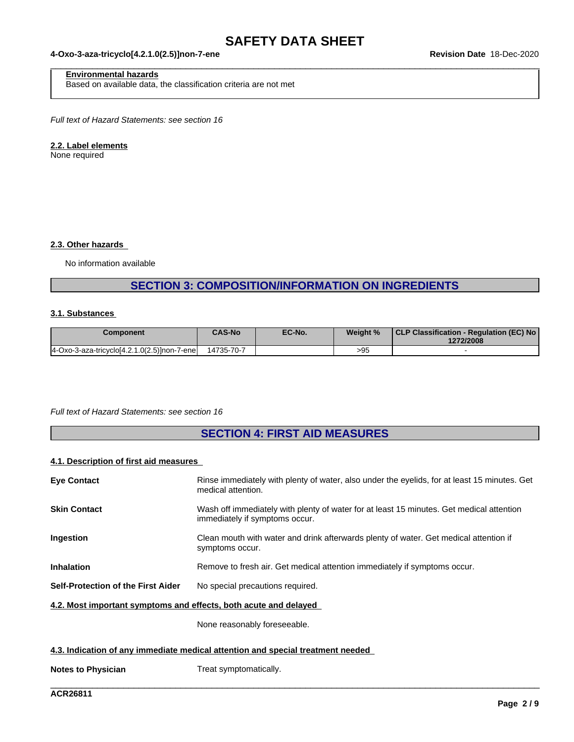$\_$  ,  $\_$  ,  $\_$  ,  $\_$  ,  $\_$  ,  $\_$  ,  $\_$  ,  $\_$  ,  $\_$  ,  $\_$  ,  $\_$  ,  $\_$  ,  $\_$  ,  $\_$  ,  $\_$  ,  $\_$  ,  $\_$  ,  $\_$  ,  $\_$  ,  $\_$  ,  $\_$  ,  $\_$  ,  $\_$  ,  $\_$  ,  $\_$  ,  $\_$  ,  $\_$  ,  $\_$  ,  $\_$  ,  $\_$  ,  $\_$  ,  $\_$  ,  $\_$  ,  $\_$  ,  $\_$  ,  $\_$  ,  $\_$  ,

#### **4-Oxo-3-aza-tricyclo[4.2.1.0(2.5)]non-7-ene Revision Date** 18-Dec-2020

### **Environmental hazards**

Based on available data, the classification criteria are not met

*Full text of Hazard Statements: see section 16*

### **2.2. Label elements**

None required

### **2.3. Other hazards**

No information available

# **SECTION 3: COMPOSITION/INFORMATION ON INGREDIENTS**

#### **3.1. Substances**

| Component                                   | <b>CAS-No</b> | EC-No. | Weight % | CLP Classification - Regulation (EC) No  <br>1272/2008 |
|---------------------------------------------|---------------|--------|----------|--------------------------------------------------------|
| 4-Oxo-3-aza-tricyclo[4.2.1.0(2.5)]non-7-ene | 14735-70-7    |        | >95      |                                                        |

*Full text of Hazard Statements: see section 16*

# **SECTION 4: FIRST AID MEASURES**

#### **4.1. Description of first aid measures**

| <b>Eye Contact</b>                                                              | Rinse immediately with plenty of water, also under the eyelids, for at least 15 minutes. Get<br>medical attention.         |  |  |
|---------------------------------------------------------------------------------|----------------------------------------------------------------------------------------------------------------------------|--|--|
| <b>Skin Contact</b>                                                             | Wash off immediately with plenty of water for at least 15 minutes. Get medical attention<br>immediately if symptoms occur. |  |  |
| <b>Ingestion</b>                                                                | Clean mouth with water and drink afterwards plenty of water. Get medical attention if<br>symptoms occur.                   |  |  |
| <b>Inhalation</b>                                                               | Remove to fresh air. Get medical attention immediately if symptoms occur.                                                  |  |  |
| Self-Protection of the First Aider                                              | No special precautions required.                                                                                           |  |  |
| 4.2. Most important symptoms and effects, both acute and delayed                |                                                                                                                            |  |  |
|                                                                                 | None reasonably foreseeable.                                                                                               |  |  |
| 4.3. Indication of any immediate medical attention and special treatment needed |                                                                                                                            |  |  |

\_\_\_\_\_\_\_\_\_\_\_\_\_\_\_\_\_\_\_\_\_\_\_\_\_\_\_\_\_\_\_\_\_\_\_\_\_\_\_\_\_\_\_\_\_\_\_\_\_\_\_\_\_\_\_\_\_\_\_\_\_\_\_\_\_\_\_\_\_\_\_\_\_\_\_\_\_\_\_\_\_\_\_\_\_\_\_\_\_\_\_\_\_\_

**Notes to Physician** Treat symptomatically.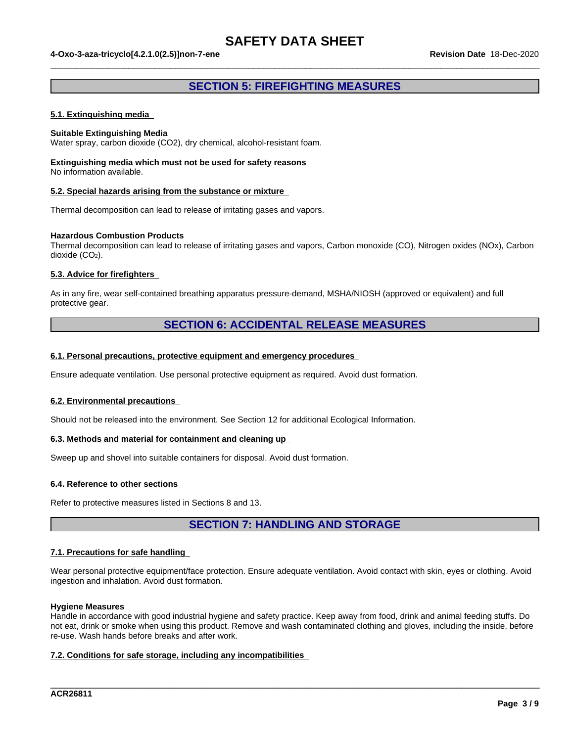#### **4-Oxo-3-aza-tricyclo[4.2.1.0(2.5)]non-7-ene Revision Date** 18-Dec-2020

### **SECTION 5: FIREFIGHTING MEASURES**

 $\_$  ,  $\_$  ,  $\_$  ,  $\_$  ,  $\_$  ,  $\_$  ,  $\_$  ,  $\_$  ,  $\_$  ,  $\_$  ,  $\_$  ,  $\_$  ,  $\_$  ,  $\_$  ,  $\_$  ,  $\_$  ,  $\_$  ,  $\_$  ,  $\_$  ,  $\_$  ,  $\_$  ,  $\_$  ,  $\_$  ,  $\_$  ,  $\_$  ,  $\_$  ,  $\_$  ,  $\_$  ,  $\_$  ,  $\_$  ,  $\_$  ,  $\_$  ,  $\_$  ,  $\_$  ,  $\_$  ,  $\_$  ,  $\_$  ,

#### **5.1. Extinguishing media**

#### **Suitable Extinguishing Media**

Water spray, carbon dioxide (CO2), dry chemical, alcohol-resistant foam.

#### **Extinguishing media which must not be used for safety reasons** No information available.

#### **5.2. Special hazards arising from the substance or mixture**

Thermal decomposition can lead to release of irritating gases and vapors.

#### **Hazardous Combustion Products**

Thermal decomposition can lead to release of irritating gases and vapors, Carbon monoxide (CO), Nitrogen oxides (NOx), Carbon dioxide (CO<sub>2</sub>).

#### **5.3. Advice for firefighters**

As in any fire, wear self-contained breathing apparatus pressure-demand, MSHA/NIOSH (approved or equivalent) and full protective gear.

### **SECTION 6: ACCIDENTAL RELEASE MEASURES**

#### **6.1. Personal precautions, protective equipment and emergency procedures**

Ensure adequate ventilation. Use personal protective equipment as required. Avoid dust formation.

#### **6.2. Environmental precautions**

Should not be released into the environment. See Section 12 for additional Ecological Information.

#### **6.3. Methods and material for containment and cleaning up**

Sweep up and shovel into suitable containers for disposal. Avoid dust formation.

#### **6.4. Reference to other sections**

Refer to protective measures listed in Sections 8 and 13.

**SECTION 7: HANDLING AND STORAGE**

#### **7.1. Precautions for safe handling**

Wear personal protective equipment/face protection. Ensure adequate ventilation. Avoid contact with skin, eyes or clothing. Avoid ingestion and inhalation. Avoid dust formation.

#### **Hygiene Measures**

Handle in accordance with good industrial hygiene and safety practice. Keep away from food, drink and animal feeding stuffs. Do not eat, drink or smoke when using this product. Remove and wash contaminated clothing and gloves, including the inside, before re-use. Wash hands before breaks and after work.

\_\_\_\_\_\_\_\_\_\_\_\_\_\_\_\_\_\_\_\_\_\_\_\_\_\_\_\_\_\_\_\_\_\_\_\_\_\_\_\_\_\_\_\_\_\_\_\_\_\_\_\_\_\_\_\_\_\_\_\_\_\_\_\_\_\_\_\_\_\_\_\_\_\_\_\_\_\_\_\_\_\_\_\_\_\_\_\_\_\_\_\_\_\_

#### **7.2. Conditions for safe storage, including any incompatibilities**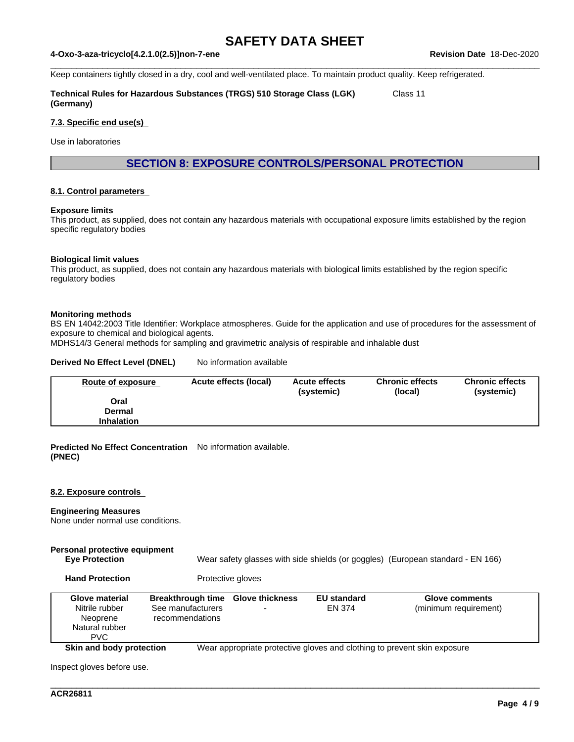$\_$  ,  $\_$  ,  $\_$  ,  $\_$  ,  $\_$  ,  $\_$  ,  $\_$  ,  $\_$  ,  $\_$  ,  $\_$  ,  $\_$  ,  $\_$  ,  $\_$  ,  $\_$  ,  $\_$  ,  $\_$  ,  $\_$  ,  $\_$  ,  $\_$  ,  $\_$  ,  $\_$  ,  $\_$  ,  $\_$  ,  $\_$  ,  $\_$  ,  $\_$  ,  $\_$  ,  $\_$  ,  $\_$  ,  $\_$  ,  $\_$  ,  $\_$  ,  $\_$  ,  $\_$  ,  $\_$  ,  $\_$  ,  $\_$  ,

#### **4-Oxo-3-aza-tricyclo[4.2.1.0(2.5)]non-7-ene Revision Date** 18-Dec-2020

Keep containers tightly closed in a dry, cool and well-ventilated place. To maintain product quality. Keep refrigerated.

**Technical Rules for Hazardous Substances (TRGS) 510 Storage Class (LGK) (Germany)** Class 11

#### **7.3. Specific end use(s)**

Use in laboratories

**SECTION 8: EXPOSURE CONTROLS/PERSONAL PROTECTION**

#### **8.1. Control parameters**

#### **Exposure limits**

This product, as supplied, does not contain any hazardous materials with occupational exposure limits established by the region specific regulatory bodies

#### **Biological limit values**

This product, as supplied, does not contain any hazardous materials with biological limits established by the region specific regulatory bodies

#### **Monitoring methods**

BS EN 14042:2003 Title Identifier: Workplace atmospheres. Guide for the application and use of procedures for the assessment of exposure to chemical and biological agents.

MDHS14/3 General methods for sampling and gravimetric analysis of respirable and inhalable dust

#### **Derived No Effect Level (DNEL)** No information available

| <b>Route of exposure</b> | Acute effects (local) | <b>Acute effects</b><br>(systemic) | <b>Chronic effects</b><br>(local) | <b>Chronic effects</b><br>(systemic) |
|--------------------------|-----------------------|------------------------------------|-----------------------------------|--------------------------------------|
| Oral                     |                       |                                    |                                   |                                      |
| Dermal                   |                       |                                    |                                   |                                      |
| <b>Inhalation</b>        |                       |                                    |                                   |                                      |

**Predicted No Effect Concentration** No information available. **(PNEC)**

#### **8.2. Exposure controls**

#### **Engineering Measures**

None under normal use conditions.

#### **Personal protective equipment Eye Protection** Wear safety glasses with side shields (or goggles) (European standard - EN 166)

**Hand Protection** Protective gloves

| <b>Glove material</b><br>Nitrile rubber<br>Neoprene<br>Natural rubber<br><b>PVC</b> | <b>Breakthrough time Glove thickness</b><br>See manufacturers<br>recommendations | <b>EU standard</b><br>EN 374 | <b>Glove comments</b><br>(minimum requirement)                           |
|-------------------------------------------------------------------------------------|----------------------------------------------------------------------------------|------------------------------|--------------------------------------------------------------------------|
| Skin and body protection                                                            |                                                                                  |                              | Wear appropriate protective gloves and clothing to prevent skin exposure |

\_\_\_\_\_\_\_\_\_\_\_\_\_\_\_\_\_\_\_\_\_\_\_\_\_\_\_\_\_\_\_\_\_\_\_\_\_\_\_\_\_\_\_\_\_\_\_\_\_\_\_\_\_\_\_\_\_\_\_\_\_\_\_\_\_\_\_\_\_\_\_\_\_\_\_\_\_\_\_\_\_\_\_\_\_\_\_\_\_\_\_\_\_\_

Inspect gloves before use.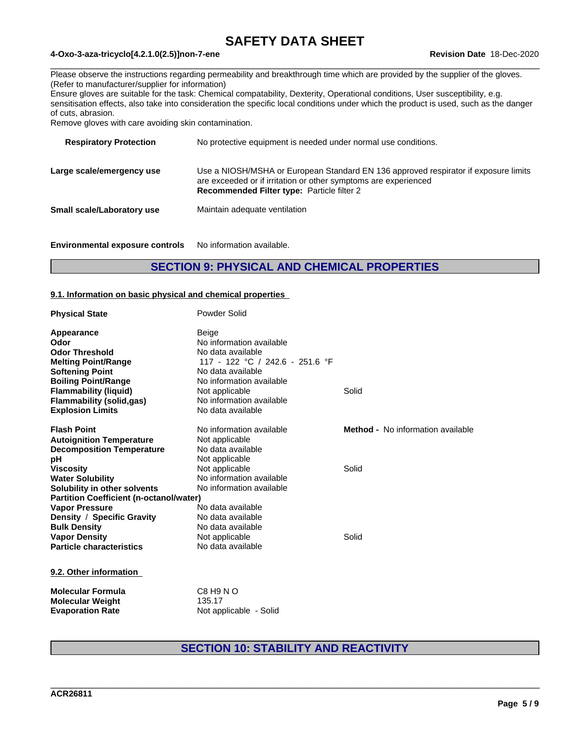$\_$  ,  $\_$  ,  $\_$  ,  $\_$  ,  $\_$  ,  $\_$  ,  $\_$  ,  $\_$  ,  $\_$  ,  $\_$  ,  $\_$  ,  $\_$  ,  $\_$  ,  $\_$  ,  $\_$  ,  $\_$  ,  $\_$  ,  $\_$  ,  $\_$  ,  $\_$  ,  $\_$  ,  $\_$  ,  $\_$  ,  $\_$  ,  $\_$  ,  $\_$  ,  $\_$  ,  $\_$  ,  $\_$  ,  $\_$  ,  $\_$  ,  $\_$  ,  $\_$  ,  $\_$  ,  $\_$  ,  $\_$  ,  $\_$  ,

### **4-Oxo-3-aza-tricyclo[4.2.1.0(2.5)]non-7-ene Revision Date** 18-Dec-2020

Please observe the instructions regarding permeability and breakthrough time which are provided by the supplier of the gloves. (Refer to manufacturer/supplier for information)

Ensure gloves are suitable for the task: Chemical compatability, Dexterity, Operational conditions, User susceptibility, e.g. sensitisation effects, also take into consideration the specific local conditions under which the product is used, such as the danger of cuts, abrasion.

Remove gloves with care avoiding skin contamination.

| <b>Respiratory Protection</b> | No protective equipment is needed under normal use conditions.                                                                                                                                              |
|-------------------------------|-------------------------------------------------------------------------------------------------------------------------------------------------------------------------------------------------------------|
| Large scale/emergency use     | Use a NIOSH/MSHA or European Standard EN 136 approved respirator if exposure limits<br>are exceeded or if irritation or other symptoms are experienced<br><b>Recommended Filter type: Particle filter 2</b> |
| Small scale/Laboratory use    | Maintain adequate ventilation                                                                                                                                                                               |
|                               |                                                                                                                                                                                                             |

**Environmental exposure controls** No information available.

## **SECTION 9: PHYSICAL AND CHEMICAL PROPERTIES**

#### **9.1. Information on basic physical and chemical properties**

| <b>Physical State</b>                          | Powder Solid                    |                                          |
|------------------------------------------------|---------------------------------|------------------------------------------|
| Appearance                                     | <b>Beige</b>                    |                                          |
| Odor                                           | No information available        |                                          |
| <b>Odor Threshold</b>                          | No data available               |                                          |
| <b>Melting Point/Range</b>                     | 117 - 122 °C / 242.6 - 251.6 °F |                                          |
| <b>Softening Point</b>                         | No data available               |                                          |
| <b>Boiling Point/Range</b>                     | No information available        |                                          |
| <b>Flammability (liquid)</b>                   | Not applicable                  | Solid                                    |
| <b>Flammability (solid,gas)</b>                | No information available        |                                          |
| <b>Explosion Limits</b>                        | No data available               |                                          |
| <b>Flash Point</b>                             | No information available        | <b>Method -</b> No information available |
| <b>Autoignition Temperature</b>                | Not applicable                  |                                          |
| <b>Decomposition Temperature</b>               | No data available               |                                          |
| рH                                             | Not applicable                  |                                          |
| <b>Viscosity</b>                               | Not applicable                  | Solid                                    |
| <b>Water Solubility</b>                        | No information available        |                                          |
| Solubility in other solvents                   | No information available        |                                          |
| <b>Partition Coefficient (n-octanol/water)</b> |                                 |                                          |
| <b>Vapor Pressure</b>                          | No data available               |                                          |
| Density / Specific Gravity                     | No data available               |                                          |
| <b>Bulk Density</b>                            | No data available               |                                          |
| <b>Vapor Density</b>                           | Not applicable                  | Solid                                    |
| <b>Particle characteristics</b>                | No data available               |                                          |
| 9.2. Other information                         |                                 |                                          |
| <b>Molecular Formula</b>                       | C8 H9 N O<br>$A \cap F$         |                                          |

| Molecular Weight        | 135.17                 |  |
|-------------------------|------------------------|--|
| <b>Evaporation Rate</b> | Not applicable - Solid |  |
|                         |                        |  |

# **SECTION 10: STABILITY AND REACTIVITY**

\_\_\_\_\_\_\_\_\_\_\_\_\_\_\_\_\_\_\_\_\_\_\_\_\_\_\_\_\_\_\_\_\_\_\_\_\_\_\_\_\_\_\_\_\_\_\_\_\_\_\_\_\_\_\_\_\_\_\_\_\_\_\_\_\_\_\_\_\_\_\_\_\_\_\_\_\_\_\_\_\_\_\_\_\_\_\_\_\_\_\_\_\_\_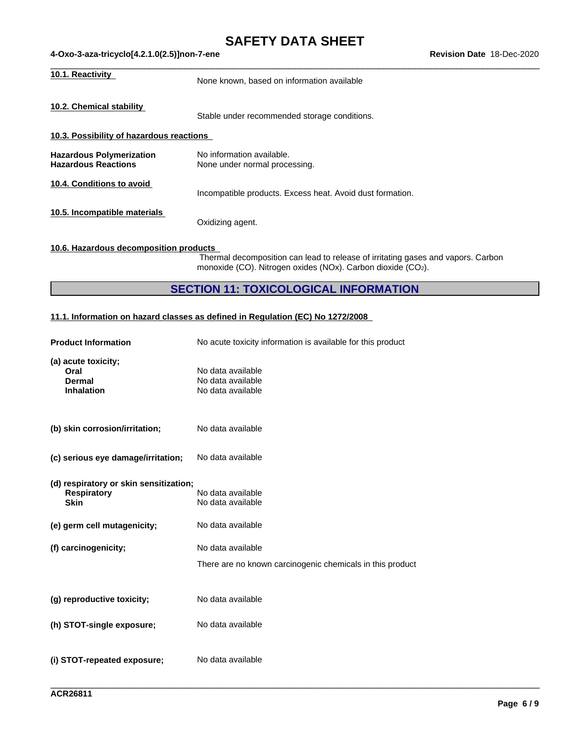| 10.1. Reactivity                                              | None known, based on information available                 |  |
|---------------------------------------------------------------|------------------------------------------------------------|--|
| 10.2. Chemical stability                                      | Stable under recommended storage conditions.               |  |
| 10.3. Possibility of hazardous reactions                      |                                                            |  |
| <b>Hazardous Polymerization</b><br><b>Hazardous Reactions</b> | No information available.<br>None under normal processing. |  |
| 10.4. Conditions to avoid                                     | Incompatible products. Excess heat. Avoid dust formation.  |  |
| 10.5. Incompatible materials                                  | Oxidizing agent.                                           |  |
| 10.6. Hazardous decomposition products                        |                                                            |  |

Thermal decomposition can lead to release of irritating gases and vapors. Carbon monoxide (CO). Nitrogen oxides (NOx). Carbon dioxide (CO2).

\_\_\_\_\_\_\_\_\_\_\_\_\_\_\_\_\_\_\_\_\_\_\_\_\_\_\_\_\_\_\_\_\_\_\_\_\_\_\_\_\_\_\_\_\_\_\_\_\_\_\_\_\_\_\_\_\_\_\_\_\_\_\_\_\_\_\_\_\_\_\_\_\_\_\_\_\_\_\_\_\_\_\_\_\_\_\_\_\_\_\_\_\_\_

# **SECTION 11: TOXICOLOGICAL INFORMATION**

### **11.1. Information on hazard classes as defined in Regulation (EC) No 1272/2008**

| <b>Product Information</b>                                                  | No acute toxicity information is available for this product |
|-----------------------------------------------------------------------------|-------------------------------------------------------------|
| (a) acute toxicity;<br>Oral<br><b>Dermal</b><br><b>Inhalation</b>           | No data available<br>No data available<br>No data available |
| (b) skin corrosion/irritation;                                              | No data available                                           |
| (c) serious eye damage/irritation;                                          | No data available                                           |
| (d) respiratory or skin sensitization;<br><b>Respiratory</b><br><b>Skin</b> | No data available<br>No data available                      |
| (e) germ cell mutagenicity;                                                 | No data available                                           |
| (f) carcinogenicity;                                                        | No data available                                           |
|                                                                             | There are no known carcinogenic chemicals in this product   |
| (g) reproductive toxicity;                                                  | No data available                                           |
| (h) STOT-single exposure;                                                   | No data available                                           |
| (i) STOT-repeated exposure;                                                 | No data available                                           |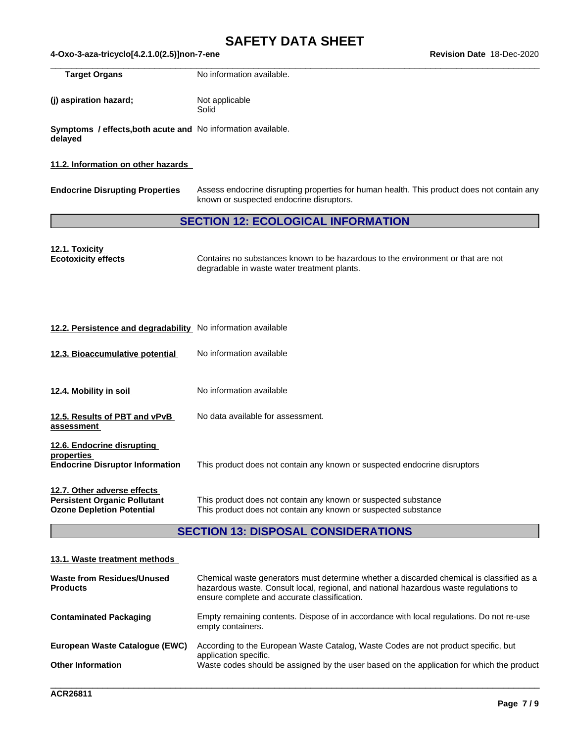$\_$  ,  $\_$  ,  $\_$  ,  $\_$  ,  $\_$  ,  $\_$  ,  $\_$  ,  $\_$  ,  $\_$  ,  $\_$  ,  $\_$  ,  $\_$  ,  $\_$  ,  $\_$  ,  $\_$  ,  $\_$  ,  $\_$  ,  $\_$  ,  $\_$  ,  $\_$  ,  $\_$  ,  $\_$  ,  $\_$  ,  $\_$  ,  $\_$  ,  $\_$  ,  $\_$  ,  $\_$  ,  $\_$  ,  $\_$  ,  $\_$  ,  $\_$  ,  $\_$  ,  $\_$  ,  $\_$  ,  $\_$  ,  $\_$  , **Target Organs** No information available.

**(j)** aspiration hazard; Not applicable **Solid** 

**Symptoms / effects,both acute and** No information available. **delayed**

### **11.2. Information on other hazards**

**Endocrine Disrupting Properties** Assess endocrine disrupting properties for human health. This product does not contain any known or suspected endocrine disruptors.

# **SECTION 12: ECOLOGICAL INFORMATION**

**12.1. Toxicity Ecotoxicity effects** Contains no substances known to be hazardous to the environment or that are not degradable in waste water treatment plants.

### **12.2. Persistence and degradability** No information available

**12.3. Bioaccumulative potential** No information available **12.4. Mobility in soil** No information available **12.5. Results of PBT and vPvB assessment** No data available for assessment. **12.6. Endocrine disrupting properties Endocrine Disruptor Information** This product does not contain any known or suspected endocrine disruptors **12.7. Other adverse effects Persistent Organic Pollutant** This product does not contain any known or suspected substance<br> **Ozone Depletion Potential** This product does not contain any known or suspected substance This product does not contain any known or suspected substance

# **SECTION 13: DISPOSAL CONSIDERATIONS**

#### **13.1. Waste treatment methods**

| Waste from Residues/Unused<br><b>Products</b> | Chemical waste generators must determine whether a discarded chemical is classified as a<br>hazardous waste. Consult local, regional, and national hazardous waste regulations to<br>ensure complete and accurate classification. |
|-----------------------------------------------|-----------------------------------------------------------------------------------------------------------------------------------------------------------------------------------------------------------------------------------|
| <b>Contaminated Packaging</b>                 | Empty remaining contents. Dispose of in accordance with local regulations. Do not re-use<br>empty containers.                                                                                                                     |
| European Waste Catalogue (EWC)                | According to the European Waste Catalog, Waste Codes are not product specific, but<br>application specific.                                                                                                                       |
| <b>Other Information</b>                      | Waste codes should be assigned by the user based on the application for which the product                                                                                                                                         |

\_\_\_\_\_\_\_\_\_\_\_\_\_\_\_\_\_\_\_\_\_\_\_\_\_\_\_\_\_\_\_\_\_\_\_\_\_\_\_\_\_\_\_\_\_\_\_\_\_\_\_\_\_\_\_\_\_\_\_\_\_\_\_\_\_\_\_\_\_\_\_\_\_\_\_\_\_\_\_\_\_\_\_\_\_\_\_\_\_\_\_\_\_\_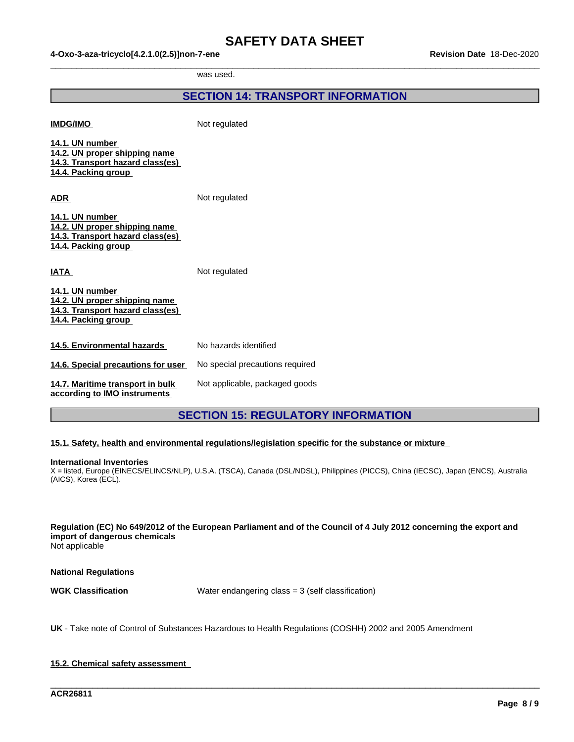$\_$  ,  $\_$  ,  $\_$  ,  $\_$  ,  $\_$  ,  $\_$  ,  $\_$  ,  $\_$  ,  $\_$  ,  $\_$  ,  $\_$  ,  $\_$  ,  $\_$  ,  $\_$  ,  $\_$  ,  $\_$  ,  $\_$  ,  $\_$  ,  $\_$  ,  $\_$  ,  $\_$  ,  $\_$  ,  $\_$  ,  $\_$  ,  $\_$  ,  $\_$  ,  $\_$  ,  $\_$  ,  $\_$  ,  $\_$  ,  $\_$  ,  $\_$  ,  $\_$  ,  $\_$  ,  $\_$  ,  $\_$  ,  $\_$  ,

was used.

|                                                                                                             | <b>SECTION 14: TRANSPORT INFORMATION</b> |
|-------------------------------------------------------------------------------------------------------------|------------------------------------------|
| <b>IMDG/IMO</b>                                                                                             | Not regulated                            |
| 14.1. UN number<br>14.2. UN proper shipping name<br>14.3. Transport hazard class(es)<br>14.4. Packing group |                                          |
| <b>ADR</b>                                                                                                  | Not regulated                            |
| 14.1. UN number<br>14.2. UN proper shipping name<br>14.3. Transport hazard class(es)<br>14.4. Packing group |                                          |
| <b>IATA</b>                                                                                                 | Not regulated                            |
| 14.1. UN number<br>14.2. UN proper shipping name<br>14.3. Transport hazard class(es)<br>14.4. Packing group |                                          |
| 14.5. Environmental hazards                                                                                 | No hazards identified                    |
| 14.6. Special precautions for user                                                                          | No special precautions required          |
| 14.7. Maritime transport in bulk<br>according to IMO instruments                                            | Not applicable, packaged goods           |
|                                                                                                             |                                          |

# **SECTION 15: REGULATORY INFORMATION**

### **15.1. Safety, health and environmental regulations/legislation specific for the substance or mixture**

#### **International Inventories**

X = listed, Europe (EINECS/ELINCS/NLP), U.S.A. (TSCA), Canada (DSL/NDSL), Philippines (PICCS), China (IECSC), Japan (ENCS), Australia (AICS), Korea (ECL).

Regulation (EC) No 649/2012 of the European Parliament and of the Council of 4 July 2012 concerning the export and **import of dangerous chemicals**

Not applicable

**National Regulations**

**WGK Classification** Water endangering class = 3 (self classification)

\_\_\_\_\_\_\_\_\_\_\_\_\_\_\_\_\_\_\_\_\_\_\_\_\_\_\_\_\_\_\_\_\_\_\_\_\_\_\_\_\_\_\_\_\_\_\_\_\_\_\_\_\_\_\_\_\_\_\_\_\_\_\_\_\_\_\_\_\_\_\_\_\_\_\_\_\_\_\_\_\_\_\_\_\_\_\_\_\_\_\_\_\_\_

**UK** - Take note of Control of Substances Hazardous to Health Regulations (COSHH) 2002 and 2005 Amendment

### **15.2. Chemical safety assessment**